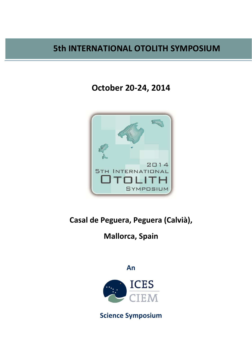# 5th INTERNATIONAL OTOLITH SYMPOSIUM

October 20-24, 2014



Casal de Peguera, Peguera (Calvià),

## **Mallorca, Spain**

An



**Science Symposium**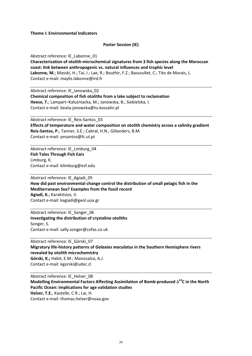**Theme I: Environmental Indicators** 

### **Poster Session (IE)**

Abstract reference: IE Labonne 01

Characterization of otolith microchemical signatures from 3 fish species along the Moroccan coast: link between anthropogenic vs. natural influences and trophic level Labonne, M.; Masski, H.; Tai, I.; Lae, R.; Bouthir, F.Z.; Bassoullet, C.; Tito de Morais, L. Contact e-mail: maylis.labonne@ird.fr

Abstract reference: IE Janowska 02 Chemical composition of fish otoliths from a lake subject to reclamation Heese, T.; Lampart-Kałużniacka, M.; Janowska, B.; Siebielska, I. Contact e-mail: beata.janowska@tu.koszalin.pl

Abstract reference: IE Reis-Santos 03 Effects of temperature and water composition on otolith chemistry across a salinity gradient Reis-Santos, P.; Tanner, S.E.; Cabral, H.N.; Gillanders, B.M. Contact e-mail: pnsantos@fc.ul.pt

Abstract reference: IE Limburg 04 **Fish Tales Through Fish Ears** Limburg, K. Contact e-mail: klimburg@esf.edu

Abstract reference: IE\_Agiadi\_05 How did past environmental change control the distribution of small pelagic fish in the Mediterranean Sea? Examples from the fossil record Agiadi, K.; Karakitsios, V. Contact e-mail: kagiadi@geol.uoa.gr

Abstract reference: IE Songer 06 Investigating the distribution of crystaline otoliths Songer, S. Contact e-mail: sally.songer@cefas.co.uk

Abstract reference: IE\_Górski\_07 Migratory life-history patterns of Galaxias maculatus in the Southern Hemisphere rivers revealed by otolith microchemistry Górski, K.; Habit, E.M.; Manosalva, A.J. Contact e-mail: kgorski@udec.cl

Abstract reference: IE Helser 08 Modelling Environmental Factors Affecting Assimilation of Bomb-produced  $\Delta^{14}$ C in the North **Pacific Ocean: Implications for age validation studies** Helser, T.E., Kastelle, C.R.; Lai, H. Contact e-mail: thomas.helser@noaa.gov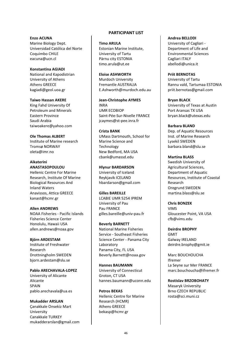**Enzo ACUNA** Marine Biology Dept. Universidad Católica del Norte Coquimbo CHILE eacuna@ucn.cl

**Konstantina AGIADI** National and Kapodistrian University of Athens Athens GREECE kagiadi@geol.uoa.gr

**Taiwo Hassan AKERE** King Fahd University Of **Petroleum and Minerals Fastern Province** Saudi Arabia taiwoakere@yahoo.com

Ole Thomas ALBERT Institute of Marine research **Tromsø NORWAY** oleta@imr.no

#### **Aikaterini ANASTASOPOULOU**

**Hellenic Centre For Marine** Research, Institute Of Marine **Biological Resources And Inland Waters** Anavissos, Attica GREECE kanast@hcmr.gr

**Allen ANDREWS** NOAA Fisheries - Pacific Islands **Fisheries Science Center** Honolulu, Hawaii USA allen.andrews@noaa.gov

#### **Biörn ARDESTAM**

Institute of Freshwater Recearch Drottningholm SWEDEN biorn.ardestam@slu.se

Pablo ARECHAVALA-LOPEZ University of Alicante Alicante **SPAIN** pablo.arechavala@ua.es

**Mukadder ARSLAN** Canakkale Onsekiz Mart University Canakkale TURKEY mukadderarslan@gmail.com

#### **PARTICIPANT LIST**

**Timo ARULA** Estonian Marine Institute, University of Tartu Pärnu city ESTONIA timo.arula@ut.ee

**Eloise ASHWORTH** Murdoch University Fremantle AUSTRALIA E.Ashworth@murdoch.edu.au

**Jean-Christophe AYMES INRA UMR ECOBIOP** Saint-Pée-Sur-Nivelle FRANCE jcaymes@st-pee.inra.fr

**Crista BANK UMass Dartmouth. School for** Marine Science and Technology New Bedford, MA USA chank@umassd.edu

**Hlynur BARDARSON** University of Iceland Reykjavik ICELAND hbardarson@gmail.com

## Gilles RARFILLE

**LCABIE UMR 5254 IPREM** University of Pau Pau FRANCE gilles.bareille@univ-pau.fr

**Beverly BARNETT National Marine Fisheries** Service - Southeast Fisheries Science Center - Panama City Laboratory Panama City, FL USA Beverly.Barnett@noaa.gov

**Hannes BAUMANN** University of Connecticut Groton, CT USA hannes.baumann@uconn.edu

**Petros BEKAS Hellenic Centre for Marine** Research (HCMR) **Athens GREECE** bekasp@hcmr.gr

#### **Andrea BELLODI**

University of Cagliari -Department of Life and **Environmental Sciences** Cagliari ITALY abellodi@unica.it

**Priit BERNOTAS** University of Tartu Rannu vald, Tartumaa ESTONIA priit.bernotas@gmail.com

**Brvan BLACK** University of Texas at Austin Port Aransas TX USA bryan.black@utexas.edu

**Barbara BLAND** Dep. of Aquatic Resources Inst. of Marine Research Lysekil SWEDEN barbara.bland@slu.se

**Martina BLASS** 

Swedish University of Agricultural Sciences, Department of Aquatic Resources, Institute of Coastal Research Oregrund SWEDEN martina.blass@slu.se

**Chris BONZEK VIMS** Gloucester Point, VA USA cfb@vims.edu

**Deirdre BROPHY GMIT** Galway IRELAND deirdre.brophy@gmit.ie

Marc BOUCHOUCHA Ifremer La Seyne sur Mer FRANCE marc.bouchoucha@ifremer.fr

**Rostislav BRZOBOHATY Masarvk University Brno CZECH REPUBLIC** rosta@sci.muni.cz